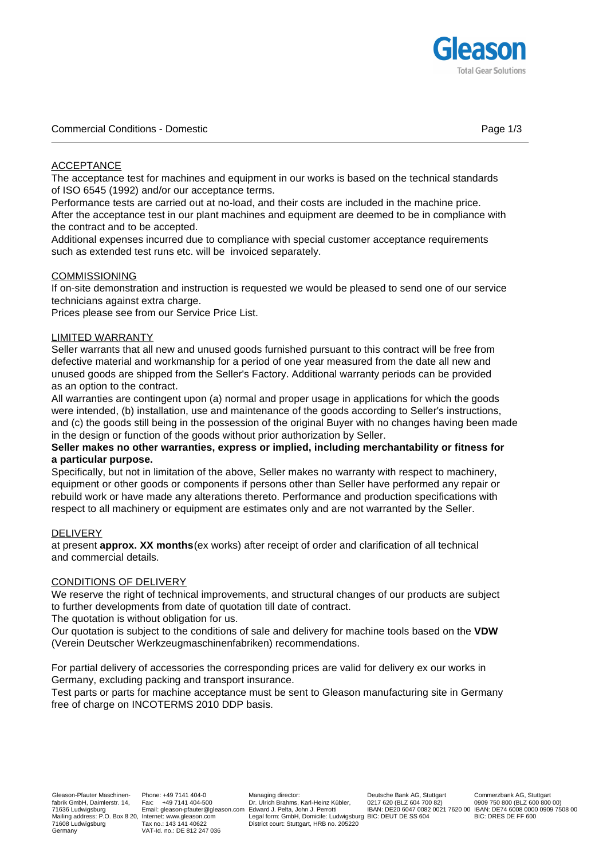

### ACCEPTANCE

The acceptance test for machines and equipment in our works is based on the technical standards of ISO 6545 (1992) and/or our acceptance terms.

Performance tests are carried out at no-load, and their costs are included in the machine price. After the acceptance test in our plant machines and equipment are deemed to be in compliance with the contract and to be accepted.

Additional expenses incurred due to compliance with special customer acceptance requirements such as extended test runs etc. will be invoiced separately.

# **COMMISSIONING**

If on-site demonstration and instruction is requested we would be pleased to send one of our service technicians against extra charge.

Prices please see from our Service Price List.

### LIMITED WARRANTY

Seller warrants that all new and unused goods furnished pursuant to this contract will be free from defective material and workmanship for a period of one year measured from the date all new and unused goods are shipped from the Seller's Factory. Additional warranty periods can be provided as an option to the contract.

All warranties are contingent upon (a) normal and proper usage in applications for which the goods were intended, (b) installation, use and maintenance of the goods according to Seller's instructions, and (c) the goods still being in the possession of the original Buyer with no changes having been made in the design or function of the goods without prior authorization by Seller.

### **Seller makes no other warranties, express or implied, including merchantability or fitness for a particular purpose.**

Specifically, but not in limitation of the above, Seller makes no warranty with respect to machinery, equipment or other goods or components if persons other than Seller have performed any repair or rebuild work or have made any alterations thereto. Performance and production specifications with respect to all machinery or equipment are estimates only and are not warranted by the Seller.

### DELIVERY

at present **approx. XX months**(ex works) after receipt of order and clarification of all technical and commercial details.

### CONDITIONS OF DELIVERY

We reserve the right of technical improvements, and structural changes of our products are subject to further developments from date of quotation till date of contract.

The quotation is without obligation for us.

Our quotation is subject to the conditions of sale and delivery for machine tools based on the **VDW** (Verein Deutscher Werkzeugmaschinenfabriken) recommendations.

For partial delivery of accessories the corresponding prices are valid for delivery ex our works in Germany, excluding packing and transport insurance.

Test parts or parts for machine acceptance must be sent to Gleason manufacturing site in Germany free of charge on INCOTERMS 2010 DDP basis.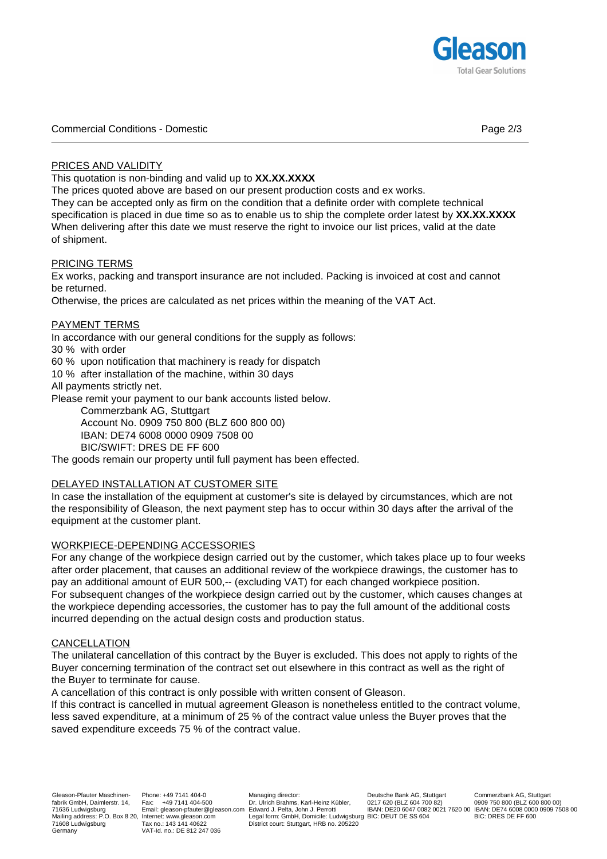

Commercial Conditions - Domestic Page 2/3

# PRICES AND VALIDITY

This quotation is non-binding and valid up to **XX.XX.XXXX**.

The prices quoted above are based on our present production costs and ex works.

They can be accepted only as firm on the condition that a definite order with complete technical specification is placed in due time so as to enable us to ship the complete order latest by **XX.XX.XXXX**. When delivering after this date we must reserve the right to invoice our list prices, valid at the date of shipment.

### PRICING TERMS

Ex works, packing and transport insurance are not included. Packing is invoiced at cost and cannot be returned.

Otherwise, the prices are calculated as net prices within the meaning of the VAT Act.

#### PAYMENT TERMS

In accordance with our general conditions for the supply as follows:

30 % with order

60 % upon notification that machinery is ready for dispatch

10 % after installation of the machine, within 30 days

All payments strictly net.

Please remit your payment to our bank accounts listed below.

Commerzbank AG, Stuttgart

Account No. 0909 750 800 (BLZ 600 800 00)

IBAN: DE74 6008 0000 0909 7508 00

BIC/SWIFT: DRES DE FF 600

The goods remain our property until full payment has been effected.

### DELAYED INSTALLATION AT CUSTOMER SITE

In case the installation of the equipment at customer's site is delayed by circumstances, which are not the responsibility of Gleason, the next payment step has to occur within 30 days after the arrival of the equipment at the customer plant.

### WORKPIECE-DEPENDING ACCESSORIES

For any change of the workpiece design carried out by the customer, which takes place up to four weeks after order placement, that causes an additional review of the workpiece drawings, the customer has to pay an additional amount of EUR 500,-- (excluding VAT) for each changed workpiece position. For subsequent changes of the workpiece design carried out by the customer, which causes changes at the workpiece depending accessories, the customer has to pay the full amount of the additional costs incurred depending on the actual design costs and production status.

### CANCELLATION

The unilateral cancellation of this contract by the Buyer is excluded. This does not apply to rights of the Buyer concerning termination of the contract set out elsewhere in this contract as well as the right of the Buyer to terminate for cause.

A cancellation of this contract is only possible with written consent of Gleason.

If this contract is cancelled in mutual agreement Gleason is nonetheless entitled to the contract volume, less saved expenditure, at a minimum of 25 % of the contract value unless the Buyer proves that the saved expenditure exceeds 75 % of the contract value.

Phone: +49 7141 404-0 Fax: +49 7141 404-500 Email: gleason-pfauter@gleason.com Edward J. Pelta, John J. Perrotti VAT-Id. no.: DE 812 247 036

Managing director: Dr. Ulrich Brahms, Karl-Heinz Kübler, Legal form: GmbH, Domicile: Ludwigsburg BIC: DEUT DE SS 604 District court: Stuttgart, HRB no. 205220

Deutsche Bank AG, Stuttgart 0217 620 (BLZ 604 700 82)

IBAN: DE20 6047 0082 0021 7620 00 IBAN: DE74 6008 0000 0909 7508 00 Commerzbank AG, Stuttgart 0909 750 800 (BLZ 600 800 00) BIC: DRES DE FF 600